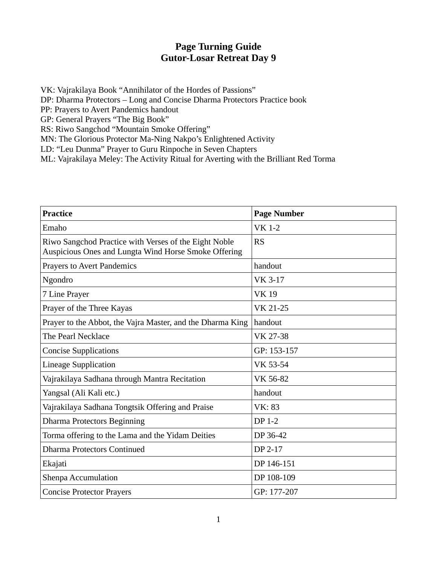## **Page Turning Guide Gutor-Losar Retreat Day 9**

VK: Vajrakilaya Book "Annihilator of the Hordes of Passions"

DP: Dharma Protectors – Long and Concise Dharma Protectors Practice book

PP: Prayers to Avert Pandemics handout

GP: General Prayers "The Big Book"

RS: Riwo Sangchod "Mountain Smoke Offering"

MN: The Glorious Protector Ma-Ning Nakpo's Enlightened Activity

LD: "Leu Dunma" Prayer to Guru Rinpoche in Seven Chapters

ML: Vajrakilaya Meley: The Activity Ritual for Averting with the Brilliant Red Torma

| <b>Practice</b>                                                                                               | <b>Page Number</b> |
|---------------------------------------------------------------------------------------------------------------|--------------------|
| Emaho                                                                                                         | <b>VK 1-2</b>      |
| Riwo Sangchod Practice with Verses of the Eight Noble<br>Auspicious Ones and Lungta Wind Horse Smoke Offering | <b>RS</b>          |
| <b>Prayers to Avert Pandemics</b>                                                                             | handout            |
| Ngondro                                                                                                       | VK 3-17            |
| 7 Line Prayer                                                                                                 | <b>VK19</b>        |
| Prayer of the Three Kayas                                                                                     | VK 21-25           |
| Prayer to the Abbot, the Vajra Master, and the Dharma King                                                    | handout            |
| The Pearl Necklace                                                                                            | VK 27-38           |
| <b>Concise Supplications</b>                                                                                  | GP: 153-157        |
| <b>Lineage Supplication</b>                                                                                   | VK 53-54           |
| Vajrakilaya Sadhana through Mantra Recitation                                                                 | VK 56-82           |
| Yangsal (Ali Kali etc.)                                                                                       | handout            |
| Vajrakilaya Sadhana Tongtsik Offering and Praise                                                              | <b>VK: 83</b>      |
| <b>Dharma Protectors Beginning</b>                                                                            | DP 1-2             |
| Torma offering to the Lama and the Yidam Deities                                                              | DP 36-42           |
| <b>Dharma Protectors Continued</b>                                                                            | DP 2-17            |
| Ekajati                                                                                                       | DP 146-151         |
| Shenpa Accumulation                                                                                           | DP 108-109         |
| <b>Concise Protector Prayers</b>                                                                              | GP: 177-207        |